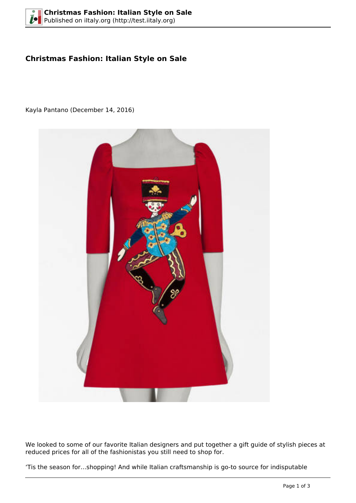# **Christmas Fashion: Italian Style on Sale**

Kayla Pantano (December 14, 2016)



We looked to some of our favorite Italian designers and put together a gift guide of stylish pieces at reduced prices for all of the fashionistas you still need to shop for.

'Tis the season for…shopping! And while Italian craftsmanship is go-to source for indisputable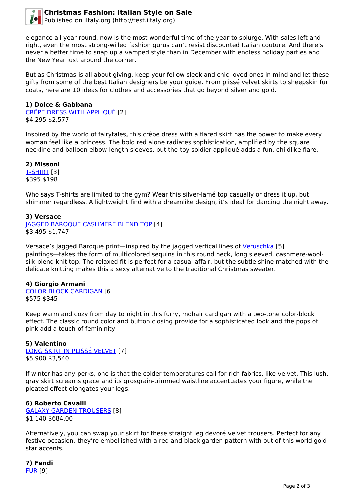

elegance all year round, now is the most wonderful time of the year to splurge. With sales left and right, even the most strong-willed fashion gurus can't resist discounted Italian couture. And there's never a better time to snap up a vamped style than in December with endless holiday parties and the New Year just around the corner.

But as Christmas is all about giving, keep your fellow sleek and chic loved ones in mind and let these gifts from some of the best Italian designers be your guide. From plissé velvet skirts to sheepskin fur coats, here are 10 ideas for clothes and accessories that go beyond silver and gold.

## **1) Dolce & Gabbana**

[CRÊPE DRESS WITH APPLIQUÉ](http://us.dolcegabbana.com/en/women/womens-sales/clothing/crepe-dress-with-applique-red-F61C5ZFUBD2R0226.html?cgid=women-sale-fw16-clothing) [2] \$4,295 \$2,577

Inspired by the world of fairytales, this crêpe dress with a flared skirt has the power to make every woman feel like a princess. The bold red alone radiates sophistication, amplified by the square neckline and balloon elbow-length sleeves, but the toy soldier appliqué adds a fun, childlike flare.

**2) Missoni** [T-SHIRT](http://www.missoni.com/us/missoni/women/t-shirt_cod38559867kd.html) [3] \$395 \$198

Who says T-shirts are limited to the gym? Wear this silver-lamé top casually or dress it up, but shimmer regardless. A lightweight find with a dreamlike design, it's ideal for dancing the night away.

## **3) Versace**

[JAGGED BAROQUE CASHMERE BLEND TOP](http://www.versace.com/us/en-us/holiday-gifts/gifts-for-her/holiday-looks/jagged-baroque-cashmere-blend-top-a1008/A75497-A220461_A1008.html?cgid=510100#start=1) [4] \$3,495 \$1,747

Versace's Jagged Baroque print—inspired by the jagged vertical lines of [Veruschka](https://en.wikipedia.org/wiki/Veruschka_von_Lehndorff) [5] paintings—takes the form of multicolored sequins in this round neck, long sleeved, cashmere-woolsilk blend knit top. The relaxed fit is perfect for a casual affair, but the subtle shine matched with the delicate knitting makes this a sexy alternative to the traditional Christmas sweater.

## **4) Giorgio Armani**

[COLOR BLOCK CARDIGAN](http://www.armani.com/us/emporioarmani/cardigan_cod39678279vm.html) [6] \$575 \$345

Keep warm and cozy from day to night in this furry, mohair cardigan with a two-tone color-block effect. The classic round color and button closing provide for a sophisticated look and the pops of pink add a touch of femininity.

## **5) Valentino**

[LONG SKIRT IN PLISSÉ VELVET](http://www.valentino.com/us/skirt_cod36912047eu.html) [7] \$5,900 \$3,540

If winter has any perks, one is that the colder temperatures call for rich fabrics, like velvet. This lush, gray skirt screams grace and its grosgrain-trimmed waistline accentuates your figure, while the pleated effect elongates your legs.

## **6) Roberto Cavalli**

[GALAXY GARDEN TROUSERS](http://www.robertocavalli.com/us_en/woman/ready-to-wear/trousers/galaxy-garden-trousers.html) [8] \$1,140 \$684.00

Alternatively, you can swap your skirt for these straight leg devoré velvet trousers. Perfect for any festive occasion, they're embellished with a red and black garden pattern with out of this world gold star accents.

**7) Fendi** [FUR](https://www.fendi.com/us/woman/sales/p-FM51337XDF05CP) [9]